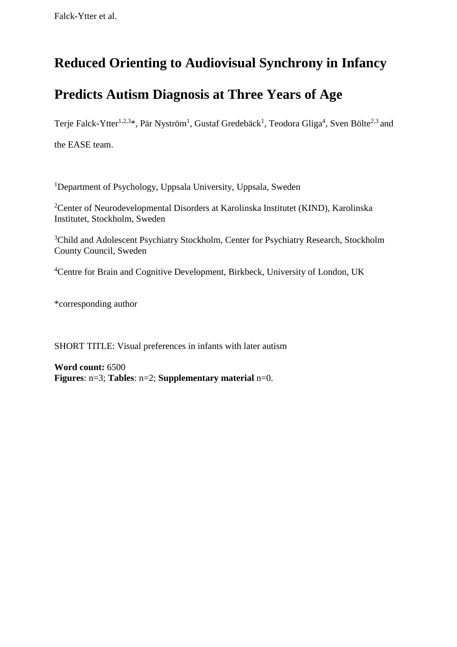# **Reduced Orienting to Audiovisual Synchrony in Infancy**

# **Predicts Autism Diagnosis at Three Years of Age**

Terje Falck-Ytter<sup>1,2,3</sup>\*, Pär Nyström<sup>1</sup>, Gustaf Gredebäck<sup>1</sup>, Teodora Gliga<sup>4</sup>, Sven Bölte<sup>2,3</sup> and

the EASE team.

<sup>1</sup>Department of Psychology, Uppsala University, Uppsala, Sweden

<sup>2</sup>Center of Neurodevelopmental Disorders at Karolinska Institutet (KIND), Karolinska Institutet, Stockholm, Sweden

<sup>3</sup>Child and Adolescent Psychiatry Stockholm, Center for Psychiatry Research, Stockholm County Council, Sweden

<sup>4</sup>Centre for Brain and Cognitive Development, Birkbeck, University of London, UK

\*corresponding author

SHORT TITLE: Visual preferences in infants with later autism

**Word count:** 6500 **Figures**: n=3; **Tables**: n=2; **Supplementary material** n=0.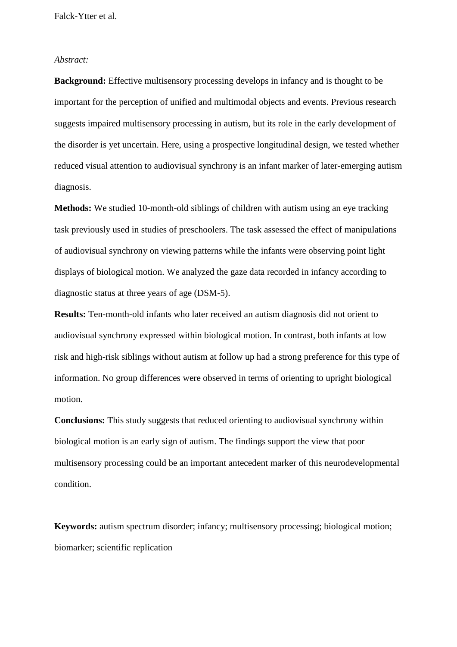#### *Abstract:*

**Background:** Effective multisensory processing develops in infancy and is thought to be important for the perception of unified and multimodal objects and events. Previous research suggests impaired multisensory processing in autism, but its role in the early development of the disorder is yet uncertain. Here, using a prospective longitudinal design, we tested whether reduced visual attention to audiovisual synchrony is an infant marker of later-emerging autism diagnosis.

**Methods:** We studied 10-month-old siblings of children with autism using an eye tracking task previously used in studies of preschoolers. The task assessed the effect of manipulations of audiovisual synchrony on viewing patterns while the infants were observing point light displays of biological motion. We analyzed the gaze data recorded in infancy according to diagnostic status at three years of age (DSM-5).

**Results:** Ten-month-old infants who later received an autism diagnosis did not orient to audiovisual synchrony expressed within biological motion. In contrast, both infants at low risk and high-risk siblings without autism at follow up had a strong preference for this type of information. No group differences were observed in terms of orienting to upright biological motion.

**Conclusions:** This study suggests that reduced orienting to audiovisual synchrony within biological motion is an early sign of autism. The findings support the view that poor multisensory processing could be an important antecedent marker of this neurodevelopmental condition.

**Keywords:** autism spectrum disorder; infancy; multisensory processing; biological motion; biomarker; scientific replication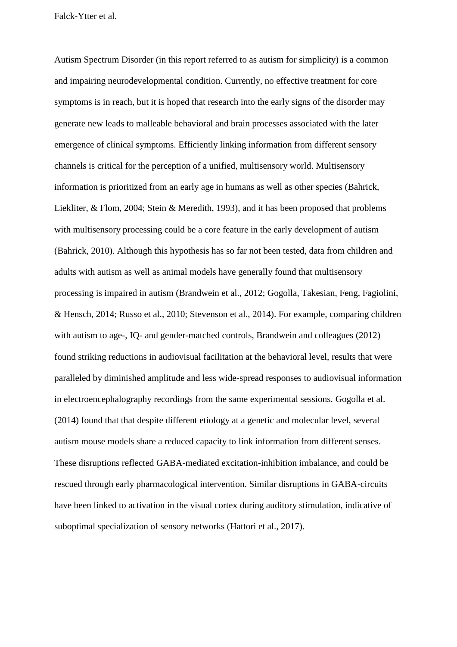Autism Spectrum Disorder (in this report referred to as autism for simplicity) is a common and impairing neurodevelopmental condition. Currently, no effective treatment for core symptoms is in reach, but it is hoped that research into the early signs of the disorder may generate new leads to malleable behavioral and brain processes associated with the later emergence of clinical symptoms. Efficiently linking information from different sensory channels is critical for the perception of a unified, multisensory world. Multisensory information is prioritized from an early age in humans as well as other species (Bahrick, Liekliter, & Flom, 2004; Stein & Meredith, 1993), and it has been proposed that problems with multisensory processing could be a core feature in the early development of autism (Bahrick, 2010). Although this hypothesis has so far not been tested, data from children and adults with autism as well as animal models have generally found that multisensory processing is impaired in autism (Brandwein et al., 2012; Gogolla, Takesian, Feng, Fagiolini, & Hensch, 2014; Russo et al., 2010; Stevenson et al., 2014). For example, comparing children with autism to age-, IQ- and gender-matched controls, Brandwein and colleagues (2012) found striking reductions in audiovisual facilitation at the behavioral level, results that were paralleled by diminished amplitude and less wide-spread responses to audiovisual information in electroencephalography recordings from the same experimental sessions. Gogolla et al. (2014) found that that despite different etiology at a genetic and molecular level, several autism mouse models share a reduced capacity to link information from different senses. These disruptions reflected GABA-mediated excitation-inhibition imbalance, and could be rescued through early pharmacological intervention. Similar disruptions in GABA-circuits have been linked to activation in the visual cortex during auditory stimulation, indicative of suboptimal specialization of sensory networks (Hattori et al., 2017).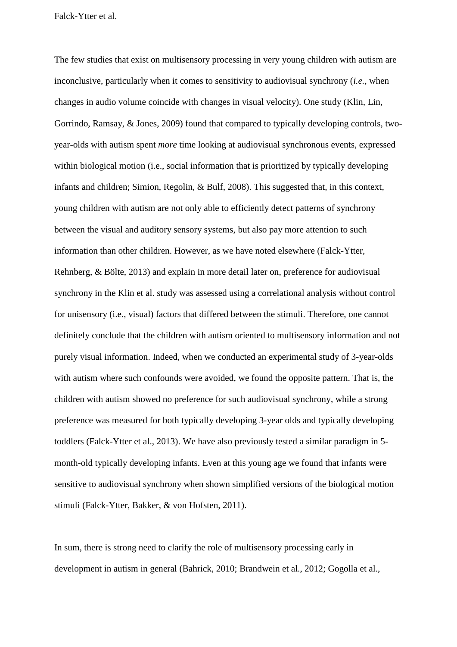The few studies that exist on multisensory processing in very young children with autism are inconclusive, particularly when it comes to sensitivity to audiovisual synchrony (*i.e.*, when changes in audio volume coincide with changes in visual velocity). One study (Klin, Lin, Gorrindo, Ramsay, & Jones, 2009) found that compared to typically developing controls, twoyear-olds with autism spent *more* time looking at audiovisual synchronous events, expressed within biological motion (i.e., social information that is prioritized by typically developing infants and children; Simion, Regolin, & Bulf, 2008). This suggested that, in this context, young children with autism are not only able to efficiently detect patterns of synchrony between the visual and auditory sensory systems, but also pay more attention to such information than other children. However, as we have noted elsewhere (Falck-Ytter, Rehnberg, & Bölte, 2013) and explain in more detail later on, preference for audiovisual synchrony in the Klin et al. study was assessed using a correlational analysis without control for unisensory (i.e., visual) factors that differed between the stimuli. Therefore, one cannot definitely conclude that the children with autism oriented to multisensory information and not purely visual information. Indeed, when we conducted an experimental study of 3-year-olds with autism where such confounds were avoided, we found the opposite pattern. That is, the children with autism showed no preference for such audiovisual synchrony, while a strong preference was measured for both typically developing 3-year olds and typically developing toddlers (Falck-Ytter et al., 2013). We have also previously tested a similar paradigm in 5 month-old typically developing infants. Even at this young age we found that infants were sensitive to audiovisual synchrony when shown simplified versions of the biological motion stimuli (Falck-Ytter, Bakker, & von Hofsten, 2011).

In sum, there is strong need to clarify the role of multisensory processing early in development in autism in general (Bahrick, 2010; Brandwein et al., 2012; Gogolla et al.,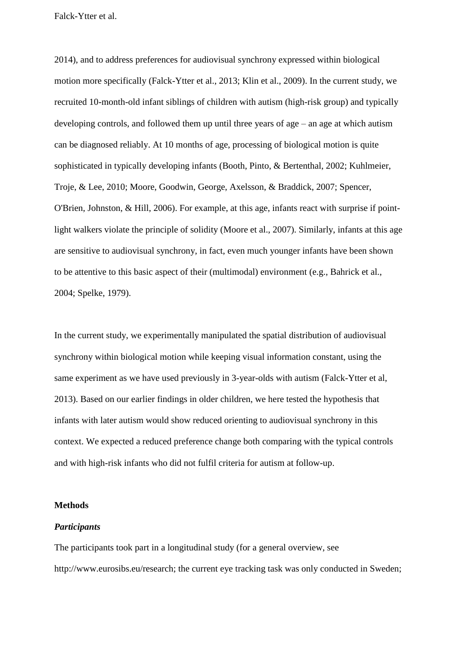2014), and to address preferences for audiovisual synchrony expressed within biological motion more specifically (Falck-Ytter et al., 2013; Klin et al., 2009). In the current study, we recruited 10-month-old infant siblings of children with autism (high-risk group) and typically developing controls, and followed them up until three years of age – an age at which autism can be diagnosed reliably. At 10 months of age, processing of biological motion is quite sophisticated in typically developing infants (Booth, Pinto, & Bertenthal, 2002; Kuhlmeier, Troje, & Lee, 2010; Moore, Goodwin, George, Axelsson, & Braddick, 2007; Spencer, O'Brien, Johnston, & Hill, 2006). For example, at this age, infants react with surprise if pointlight walkers violate the principle of solidity (Moore et al., 2007). Similarly, infants at this age are sensitive to audiovisual synchrony, in fact, even much younger infants have been shown to be attentive to this basic aspect of their (multimodal) environment (e.g., Bahrick et al., 2004; Spelke, 1979).

In the current study, we experimentally manipulated the spatial distribution of audiovisual synchrony within biological motion while keeping visual information constant, using the same experiment as we have used previously in 3-year-olds with autism (Falck-Ytter et al, 2013). Based on our earlier findings in older children, we here tested the hypothesis that infants with later autism would show reduced orienting to audiovisual synchrony in this context. We expected a reduced preference change both comparing with the typical controls and with high-risk infants who did not fulfil criteria for autism at follow-up.

#### **Methods**

## *Participants*

The participants took part in a longitudinal study (for a general overview, see http://www.eurosibs.eu/research; the current eye tracking task was only conducted in Sweden;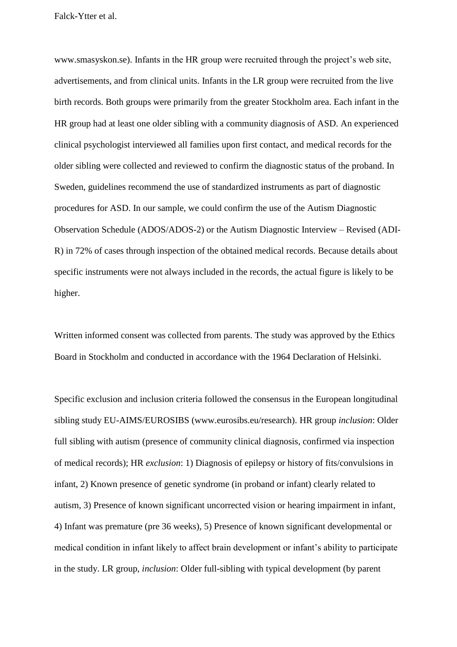www.smasyskon.se). Infants in the HR group were recruited through the project's web site, advertisements, and from clinical units. Infants in the LR group were recruited from the live birth records. Both groups were primarily from the greater Stockholm area. Each infant in the HR group had at least one older sibling with a community diagnosis of ASD. An experienced clinical psychologist interviewed all families upon first contact, and medical records for the older sibling were collected and reviewed to confirm the diagnostic status of the proband. In Sweden, guidelines recommend the use of standardized instruments as part of diagnostic procedures for ASD. In our sample, we could confirm the use of the Autism Diagnostic Observation Schedule (ADOS/ADOS-2) or the Autism Diagnostic Interview – Revised (ADI-R) in 72% of cases through inspection of the obtained medical records. Because details about specific instruments were not always included in the records, the actual figure is likely to be higher.

Written informed consent was collected from parents. The study was approved by the Ethics Board in Stockholm and conducted in accordance with the 1964 Declaration of Helsinki.

Specific exclusion and inclusion criteria followed the consensus in the European longitudinal sibling study EU-AIMS/EUROSIBS (www.eurosibs.eu/research). HR group *inclusion*: Older full sibling with autism (presence of community clinical diagnosis, confirmed via inspection of medical records); HR *exclusion*: 1) Diagnosis of epilepsy or history of fits/convulsions in infant, 2) Known presence of genetic syndrome (in proband or infant) clearly related to autism, 3) Presence of known significant uncorrected vision or hearing impairment in infant, 4) Infant was premature (pre 36 weeks), 5) Presence of known significant developmental or medical condition in infant likely to affect brain development or infant's ability to participate in the study. LR group, *inclusion*: Older full-sibling with typical development (by parent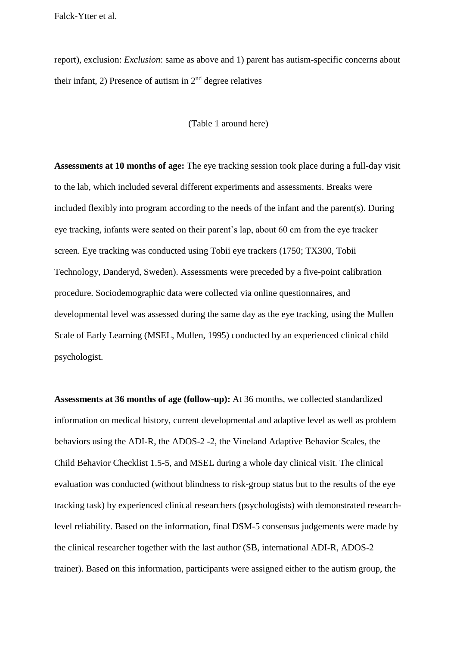report), exclusion: *Exclusion*: same as above and 1) parent has autism-specific concerns about their infant, 2) Presence of autism in  $2<sup>nd</sup>$  degree relatives

#### (Table 1 around here)

**Assessments at 10 months of age:** The eye tracking session took place during a full-day visit to the lab, which included several different experiments and assessments. Breaks were included flexibly into program according to the needs of the infant and the parent(s). During eye tracking, infants were seated on their parent's lap, about 60 cm from the eye tracker screen. Eye tracking was conducted using Tobii eye trackers (1750; TX300, Tobii Technology, Danderyd, Sweden). Assessments were preceded by a five-point calibration procedure. Sociodemographic data were collected via online questionnaires, and developmental level was assessed during the same day as the eye tracking, using the Mullen Scale of Early Learning (MSEL, Mullen, 1995) conducted by an experienced clinical child psychologist.

**Assessments at 36 months of age (follow-up):** At 36 months, we collected standardized information on medical history, current developmental and adaptive level as well as problem behaviors using the ADI-R, the ADOS-2 -2, the Vineland Adaptive Behavior Scales, the Child Behavior Checklist 1.5-5, and MSEL during a whole day clinical visit. The clinical evaluation was conducted (without blindness to risk-group status but to the results of the eye tracking task) by experienced clinical researchers (psychologists) with demonstrated researchlevel reliability. Based on the information, final DSM-5 consensus judgements were made by the clinical researcher together with the last author (SB, international ADI-R, ADOS-2 trainer). Based on this information, participants were assigned either to the autism group, the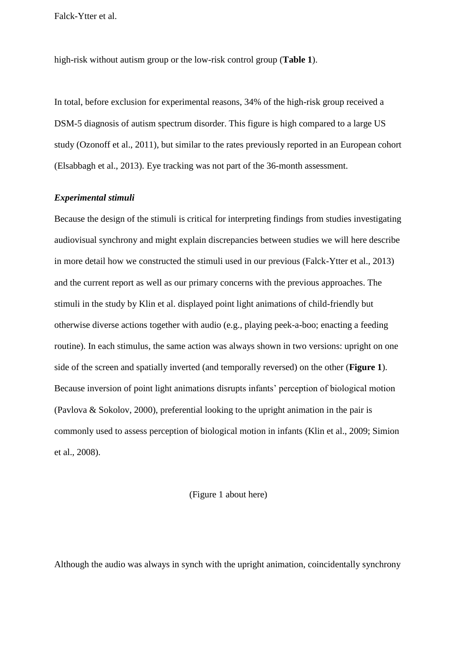high-risk without autism group or the low-risk control group (**Table 1**).

In total, before exclusion for experimental reasons, 34% of the high-risk group received a DSM-5 diagnosis of autism spectrum disorder. This figure is high compared to a large US study (Ozonoff et al., 2011), but similar to the rates previously reported in an European cohort (Elsabbagh et al., 2013). Eye tracking was not part of the 36-month assessment.

## *Experimental stimuli*

Because the design of the stimuli is critical for interpreting findings from studies investigating audiovisual synchrony and might explain discrepancies between studies we will here describe in more detail how we constructed the stimuli used in our previous (Falck-Ytter et al., 2013) and the current report as well as our primary concerns with the previous approaches. The stimuli in the study by Klin et al. displayed point light animations of child-friendly but otherwise diverse actions together with audio (e.g.*,* playing peek-a-boo; enacting a feeding routine). In each stimulus, the same action was always shown in two versions: upright on one side of the screen and spatially inverted (and temporally reversed) on the other (**Figure 1**). Because inversion of point light animations disrupts infants' perception of biological motion (Pavlova & Sokolov, 2000), preferential looking to the upright animation in the pair is commonly used to assess perception of biological motion in infants (Klin et al., 2009; Simion et al., 2008).

(Figure 1 about here)

Although the audio was always in synch with the upright animation, coincidentally synchrony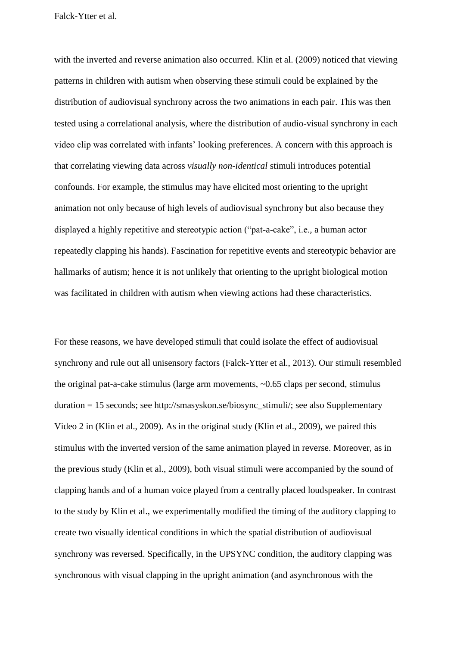with the inverted and reverse animation also occurred. Klin et al. (2009) noticed that viewing patterns in children with autism when observing these stimuli could be explained by the distribution of audiovisual synchrony across the two animations in each pair. This was then tested using a correlational analysis, where the distribution of audio-visual synchrony in each video clip was correlated with infants' looking preferences. A concern with this approach is that correlating viewing data across *visually non-identical* stimuli introduces potential confounds. For example, the stimulus may have elicited most orienting to the upright animation not only because of high levels of audiovisual synchrony but also because they displayed a highly repetitive and stereotypic action ("pat-a-cake", i.e.*,* a human actor repeatedly clapping his hands). Fascination for repetitive events and stereotypic behavior are hallmarks of autism; hence it is not unlikely that orienting to the upright biological motion was facilitated in children with autism when viewing actions had these characteristics.

For these reasons, we have developed stimuli that could isolate the effect of audiovisual synchrony and rule out all unisensory factors (Falck-Ytter et al., 2013). Our stimuli resembled the original pat-a-cake stimulus (large arm movements, ~0.65 claps per second, stimulus duration = 15 seconds; see http://smasyskon.se/biosync\_stimuli/; see also Supplementary Video 2 in (Klin et al., 2009). As in the original study (Klin et al., 2009), we paired this stimulus with the inverted version of the same animation played in reverse. Moreover, as in the previous study (Klin et al., 2009), both visual stimuli were accompanied by the sound of clapping hands and of a human voice played from a centrally placed loudspeaker. In contrast to the study by Klin et al., we experimentally modified the timing of the auditory clapping to create two visually identical conditions in which the spatial distribution of audiovisual synchrony was reversed. Specifically, in the UPSYNC condition, the auditory clapping was synchronous with visual clapping in the upright animation (and asynchronous with the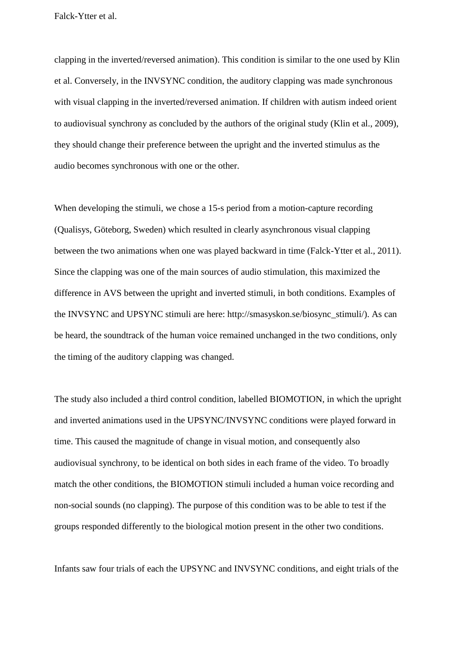clapping in the inverted/reversed animation). This condition is similar to the one used by Klin et al. Conversely, in the INVSYNC condition, the auditory clapping was made synchronous with visual clapping in the inverted/reversed animation. If children with autism indeed orient to audiovisual synchrony as concluded by the authors of the original study (Klin et al., 2009), they should change their preference between the upright and the inverted stimulus as the audio becomes synchronous with one or the other.

When developing the stimuli, we chose a 15-s period from a motion-capture recording (Qualisys, Göteborg, Sweden) which resulted in clearly asynchronous visual clapping between the two animations when one was played backward in time (Falck-Ytter et al., 2011). Since the clapping was one of the main sources of audio stimulation, this maximized the difference in AVS between the upright and inverted stimuli, in both conditions. Examples of the INVSYNC and UPSYNC stimuli are here: http://smasyskon.se/biosync\_stimuli/). As can be heard, the soundtrack of the human voice remained unchanged in the two conditions, only the timing of the auditory clapping was changed.

The study also included a third control condition, labelled BIOMOTION, in which the upright and inverted animations used in the UPSYNC/INVSYNC conditions were played forward in time. This caused the magnitude of change in visual motion, and consequently also audiovisual synchrony, to be identical on both sides in each frame of the video. To broadly match the other conditions, the BIOMOTION stimuli included a human voice recording and non-social sounds (no clapping). The purpose of this condition was to be able to test if the groups responded differently to the biological motion present in the other two conditions.

Infants saw four trials of each the UPSYNC and INVSYNC conditions, and eight trials of the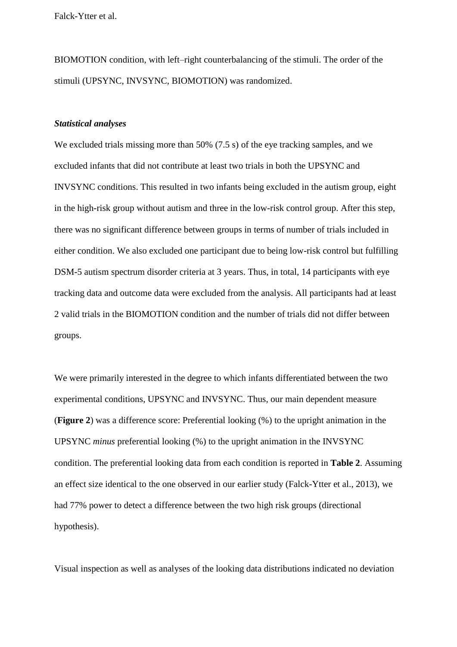BIOMOTION condition, with left–right counterbalancing of the stimuli. The order of the stimuli (UPSYNC, INVSYNC, BIOMOTION) was randomized.

### *Statistical analyses*

We excluded trials missing more than 50% (7.5 s) of the eye tracking samples, and we excluded infants that did not contribute at least two trials in both the UPSYNC and INVSYNC conditions. This resulted in two infants being excluded in the autism group, eight in the high-risk group without autism and three in the low-risk control group. After this step, there was no significant difference between groups in terms of number of trials included in either condition. We also excluded one participant due to being low-risk control but fulfilling DSM-5 autism spectrum disorder criteria at 3 years. Thus, in total, 14 participants with eye tracking data and outcome data were excluded from the analysis. All participants had at least 2 valid trials in the BIOMOTION condition and the number of trials did not differ between groups.

We were primarily interested in the degree to which infants differentiated between the two experimental conditions, UPSYNC and INVSYNC. Thus, our main dependent measure (**Figure 2**) was a difference score: Preferential looking (%) to the upright animation in the UPSYNC *minus* preferential looking (%) to the upright animation in the INVSYNC condition. The preferential looking data from each condition is reported in **Table 2**. Assuming an effect size identical to the one observed in our earlier study (Falck-Ytter et al., 2013), we had 77% power to detect a difference between the two high risk groups (directional hypothesis).

Visual inspection as well as analyses of the looking data distributions indicated no deviation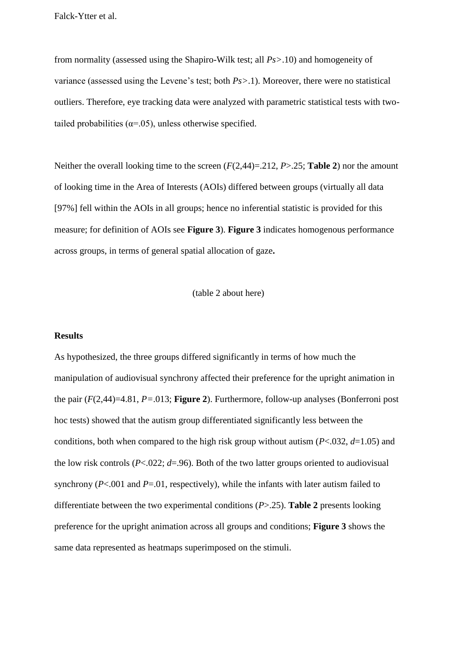from normality (assessed using the Shapiro-Wilk test; all *Ps>*.10) and homogeneity of variance (assessed using the Levene's test; both *Ps>*.1). Moreover, there were no statistical outliers. Therefore, eye tracking data were analyzed with parametric statistical tests with twotailed probabilities ( $\alpha$ =.05), unless otherwise specified.

Neither the overall looking time to the screen (*F*(2,44)=.212, *P*>.25; **Table 2**) nor the amount of looking time in the Area of Interests (AOIs) differed between groups (virtually all data [97%] fell within the AOIs in all groups; hence no inferential statistic is provided for this measure; for definition of AOIs see **Figure 3**). **Figure 3** indicates homogenous performance across groups, in terms of general spatial allocation of gaze**.**

#### (table 2 about here)

#### **Results**

As hypothesized, the three groups differed significantly in terms of how much the manipulation of audiovisual synchrony affected their preference for the upright animation in the pair (*F*(2,44)=4.81, *P=*.013; **Figure 2**). Furthermore, follow-up analyses (Bonferroni post hoc tests) showed that the autism group differentiated significantly less between the conditions, both when compared to the high risk group without autism (*P*<.032, *d*=1.05) and the low risk controls  $(P<.022; d=.96)$ . Both of the two latter groups oriented to audiovisual synchrony (*P*<.001 and *P*=.01, respectively), while the infants with later autism failed to differentiate between the two experimental conditions (*P*>.25). **Table 2** presents looking preference for the upright animation across all groups and conditions; **Figure 3** shows the same data represented as heatmaps superimposed on the stimuli.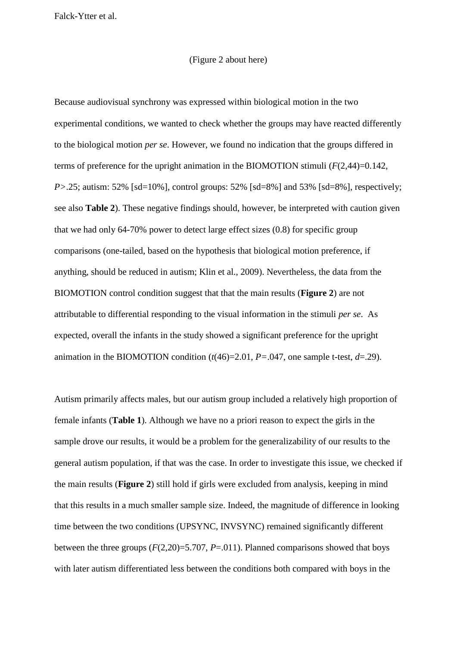#### (Figure 2 about here)

Because audiovisual synchrony was expressed within biological motion in the two experimental conditions, we wanted to check whether the groups may have reacted differently to the biological motion *per se*. However, we found no indication that the groups differed in terms of preference for the upright animation in the BIOMOTION stimuli  $(F(2,44)=0.142)$ , *P*>.25; autism: 52% [sd=10%], control groups: 52% [sd=8%] and 53% [sd=8%], respectively; see also **Table 2**). These negative findings should, however, be interpreted with caution given that we had only 64-70% power to detect large effect sizes (0.8) for specific group comparisons (one-tailed, based on the hypothesis that biological motion preference, if anything, should be reduced in autism; Klin et al., 2009). Nevertheless, the data from the BIOMOTION control condition suggest that that the main results (**Figure 2**) are not attributable to differential responding to the visual information in the stimuli *per se*. As expected, overall the infants in the study showed a significant preference for the upright animation in the BIOMOTION condition  $(t(46)=2.01, P=.047)$ , one sample t-test,  $d=.29$ ).

Autism primarily affects males, but our autism group included a relatively high proportion of female infants (**Table 1**). Although we have no a priori reason to expect the girls in the sample drove our results, it would be a problem for the generalizability of our results to the general autism population, if that was the case. In order to investigate this issue, we checked if the main results (**Figure 2**) still hold if girls were excluded from analysis, keeping in mind that this results in a much smaller sample size. Indeed, the magnitude of difference in looking time between the two conditions (UPSYNC, INVSYNC) remained significantly different between the three groups (*F*(2,20)=5.707, *P*=.011). Planned comparisons showed that boys with later autism differentiated less between the conditions both compared with boys in the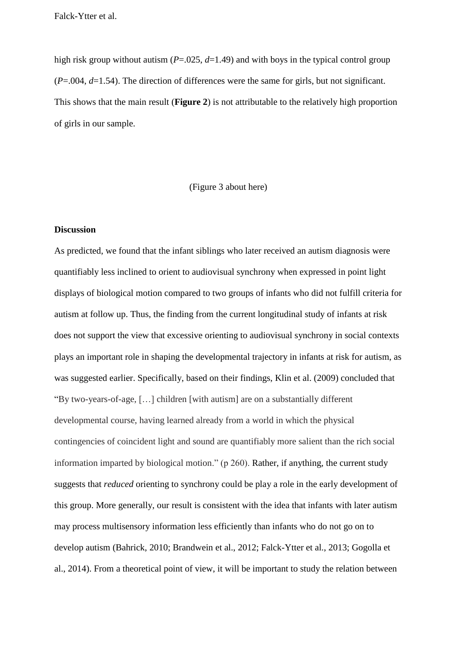high risk group without autism (*P*=.025, *d*=1.49) and with boys in the typical control group (*P*=.004, *d*=1.54). The direction of differences were the same for girls, but not significant. This shows that the main result (**Figure 2**) is not attributable to the relatively high proportion of girls in our sample.

#### (Figure 3 about here)

### **Discussion**

As predicted, we found that the infant siblings who later received an autism diagnosis were quantifiably less inclined to orient to audiovisual synchrony when expressed in point light displays of biological motion compared to two groups of infants who did not fulfill criteria for autism at follow up. Thus, the finding from the current longitudinal study of infants at risk does not support the view that excessive orienting to audiovisual synchrony in social contexts plays an important role in shaping the developmental trajectory in infants at risk for autism, as was suggested earlier. Specifically, based on their findings, Klin et al. (2009) concluded that "By two-years-of-age, […] children [with autism] are on a substantially different developmental course, having learned already from a world in which the physical contingencies of coincident light and sound are quantifiably more salient than the rich social information imparted by biological motion." (p 260). Rather, if anything, the current study suggests that *reduced* orienting to synchrony could be play a role in the early development of this group. More generally, our result is consistent with the idea that infants with later autism may process multisensory information less efficiently than infants who do not go on to develop autism (Bahrick, 2010; Brandwein et al., 2012; Falck-Ytter et al., 2013; Gogolla et al., 2014). From a theoretical point of view, it will be important to study the relation between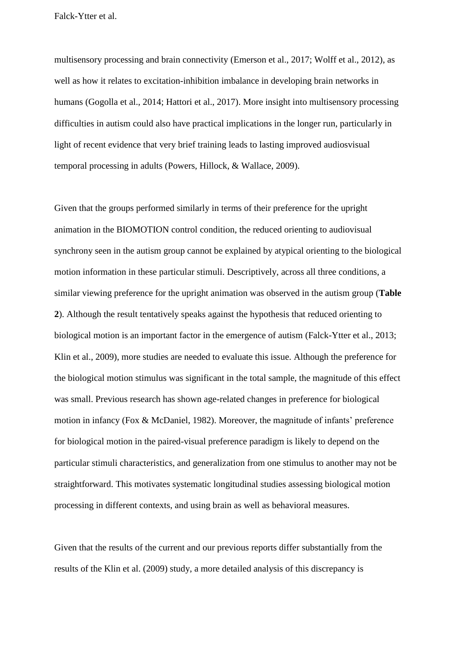multisensory processing and brain connectivity (Emerson et al., 2017; Wolff et al., 2012), as well as how it relates to excitation-inhibition imbalance in developing brain networks in humans (Gogolla et al., 2014; Hattori et al., 2017). More insight into multisensory processing difficulties in autism could also have practical implications in the longer run, particularly in light of recent evidence that very brief training leads to lasting improved audiosvisual temporal processing in adults (Powers, Hillock, & Wallace, 2009).

Given that the groups performed similarly in terms of their preference for the upright animation in the BIOMOTION control condition, the reduced orienting to audiovisual synchrony seen in the autism group cannot be explained by atypical orienting to the biological motion information in these particular stimuli. Descriptively, across all three conditions, a similar viewing preference for the upright animation was observed in the autism group (**Table 2**). Although the result tentatively speaks against the hypothesis that reduced orienting to biological motion is an important factor in the emergence of autism (Falck-Ytter et al., 2013; Klin et al., 2009), more studies are needed to evaluate this issue. Although the preference for the biological motion stimulus was significant in the total sample, the magnitude of this effect was small. Previous research has shown age-related changes in preference for biological motion in infancy (Fox & McDaniel, 1982). Moreover, the magnitude of infants' preference for biological motion in the paired-visual preference paradigm is likely to depend on the particular stimuli characteristics, and generalization from one stimulus to another may not be straightforward. This motivates systematic longitudinal studies assessing biological motion processing in different contexts, and using brain as well as behavioral measures.

Given that the results of the current and our previous reports differ substantially from the results of the Klin et al. (2009) study, a more detailed analysis of this discrepancy is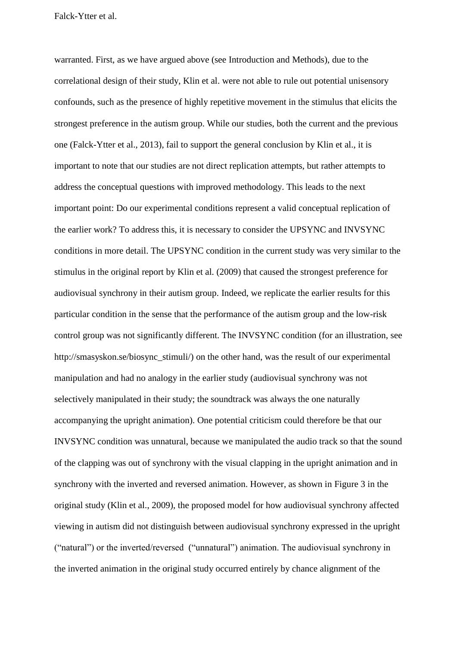warranted. First, as we have argued above (see Introduction and Methods), due to the correlational design of their study, Klin et al. were not able to rule out potential unisensory confounds, such as the presence of highly repetitive movement in the stimulus that elicits the strongest preference in the autism group. While our studies, both the current and the previous one (Falck-Ytter et al., 2013), fail to support the general conclusion by Klin et al., it is important to note that our studies are not direct replication attempts, but rather attempts to address the conceptual questions with improved methodology. This leads to the next important point: Do our experimental conditions represent a valid conceptual replication of the earlier work? To address this, it is necessary to consider the UPSYNC and INVSYNC conditions in more detail. The UPSYNC condition in the current study was very similar to the stimulus in the original report by Klin et al. (2009) that caused the strongest preference for audiovisual synchrony in their autism group. Indeed, we replicate the earlier results for this particular condition in the sense that the performance of the autism group and the low-risk control group was not significantly different. The INVSYNC condition (for an illustration, see http://smasyskon.se/biosync\_stimuli/) on the other hand, was the result of our experimental manipulation and had no analogy in the earlier study (audiovisual synchrony was not selectively manipulated in their study; the soundtrack was always the one naturally accompanying the upright animation). One potential criticism could therefore be that our INVSYNC condition was unnatural, because we manipulated the audio track so that the sound of the clapping was out of synchrony with the visual clapping in the upright animation and in synchrony with the inverted and reversed animation. However, as shown in Figure 3 in the original study (Klin et al., 2009), the proposed model for how audiovisual synchrony affected viewing in autism did not distinguish between audiovisual synchrony expressed in the upright ("natural") or the inverted/reversed ("unnatural") animation. The audiovisual synchrony in the inverted animation in the original study occurred entirely by chance alignment of the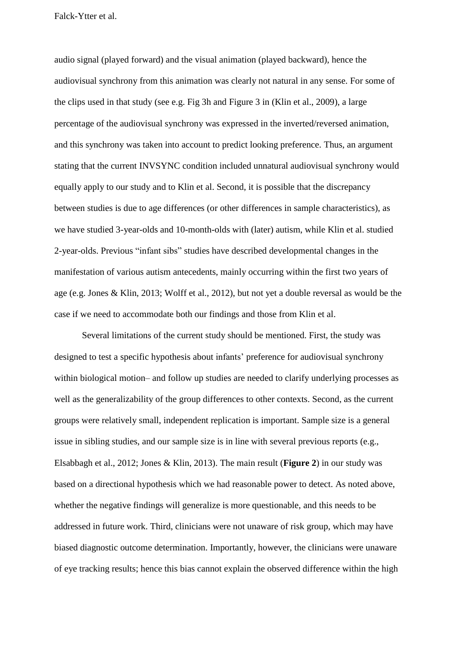audio signal (played forward) and the visual animation (played backward), hence the audiovisual synchrony from this animation was clearly not natural in any sense. For some of the clips used in that study (see e.g. Fig 3h and Figure 3 in (Klin et al., 2009), a large percentage of the audiovisual synchrony was expressed in the inverted/reversed animation, and this synchrony was taken into account to predict looking preference. Thus, an argument stating that the current INVSYNC condition included unnatural audiovisual synchrony would equally apply to our study and to Klin et al. Second, it is possible that the discrepancy between studies is due to age differences (or other differences in sample characteristics), as we have studied 3-year-olds and 10-month-olds with (later) autism, while Klin et al. studied 2-year-olds. Previous "infant sibs" studies have described developmental changes in the manifestation of various autism antecedents, mainly occurring within the first two years of age (e.g. Jones & Klin, 2013; Wolff et al., 2012), but not yet a double reversal as would be the case if we need to accommodate both our findings and those from Klin et al.

Several limitations of the current study should be mentioned. First, the study was designed to test a specific hypothesis about infants' preference for audiovisual synchrony within biological motion– and follow up studies are needed to clarify underlying processes as well as the generalizability of the group differences to other contexts. Second, as the current groups were relatively small, independent replication is important. Sample size is a general issue in sibling studies, and our sample size is in line with several previous reports (e.g., Elsabbagh et al., 2012; Jones & Klin, 2013). The main result (**Figure 2**) in our study was based on a directional hypothesis which we had reasonable power to detect. As noted above, whether the negative findings will generalize is more questionable, and this needs to be addressed in future work. Third, clinicians were not unaware of risk group, which may have biased diagnostic outcome determination. Importantly, however, the clinicians were unaware of eye tracking results; hence this bias cannot explain the observed difference within the high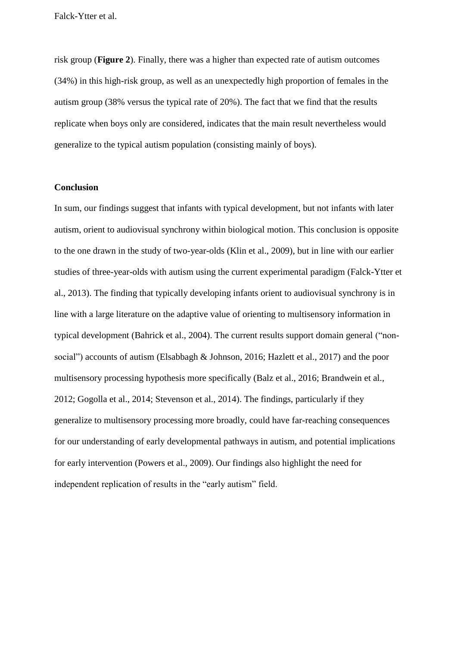risk group (**Figure 2**). Finally, there was a higher than expected rate of autism outcomes (34%) in this high-risk group, as well as an unexpectedly high proportion of females in the autism group (38% versus the typical rate of 20%). The fact that we find that the results replicate when boys only are considered, indicates that the main result nevertheless would generalize to the typical autism population (consisting mainly of boys).

#### **Conclusion**

In sum, our findings suggest that infants with typical development, but not infants with later autism, orient to audiovisual synchrony within biological motion. This conclusion is opposite to the one drawn in the study of two-year-olds (Klin et al., 2009), but in line with our earlier studies of three-year-olds with autism using the current experimental paradigm (Falck-Ytter et al., 2013). The finding that typically developing infants orient to audiovisual synchrony is in line with a large literature on the adaptive value of orienting to multisensory information in typical development (Bahrick et al., 2004). The current results support domain general ("nonsocial") accounts of autism (Elsabbagh & Johnson, 2016; Hazlett et al., 2017) and the poor multisensory processing hypothesis more specifically (Balz et al., 2016; Brandwein et al., 2012; Gogolla et al., 2014; Stevenson et al., 2014). The findings, particularly if they generalize to multisensory processing more broadly, could have far-reaching consequences for our understanding of early developmental pathways in autism, and potential implications for early intervention (Powers et al., 2009). Our findings also highlight the need for independent replication of results in the "early autism" field.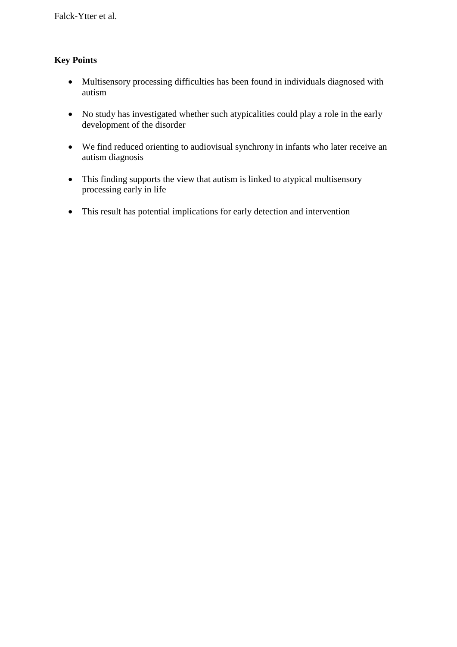# **Key Points**

- Multisensory processing difficulties has been found in individuals diagnosed with autism
- No study has investigated whether such atypicalities could play a role in the early development of the disorder
- We find reduced orienting to audiovisual synchrony in infants who later receive an autism diagnosis
- This finding supports the view that autism is linked to atypical multisensory processing early in life
- This result has potential implications for early detection and intervention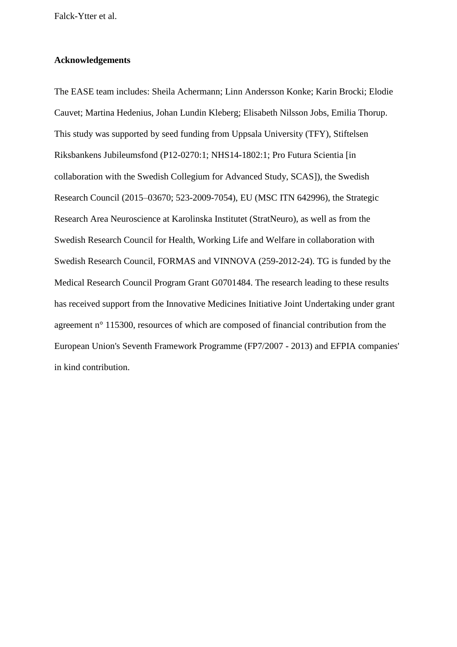## **Acknowledgements**

The EASE team includes: Sheila Achermann; Linn Andersson Konke; Karin Brocki; Elodie Cauvet; Martina Hedenius, Johan Lundin Kleberg; Elisabeth Nilsson Jobs, Emilia Thorup. This study was supported by seed funding from Uppsala University (TFY), Stiftelsen Riksbankens Jubileumsfond (P12-0270:1; NHS14-1802:1; Pro Futura Scientia [in collaboration with the Swedish Collegium for Advanced Study, SCAS]), the Swedish Research Council (2015–03670; 523-2009-7054), EU (MSC ITN 642996), the Strategic Research Area Neuroscience at Karolinska Institutet (StratNeuro), as well as from the Swedish Research Council for Health, Working Life and Welfare in collaboration with Swedish Research Council, FORMAS and VINNOVA (259-2012-24). TG is funded by the Medical Research Council Program Grant G0701484. The research leading to these results has received support from the Innovative Medicines Initiative Joint Undertaking under grant agreement n° 115300, resources of which are composed of financial contribution from the European Union's Seventh Framework Programme (FP7/2007 - 2013) and EFPIA companies' in kind contribution.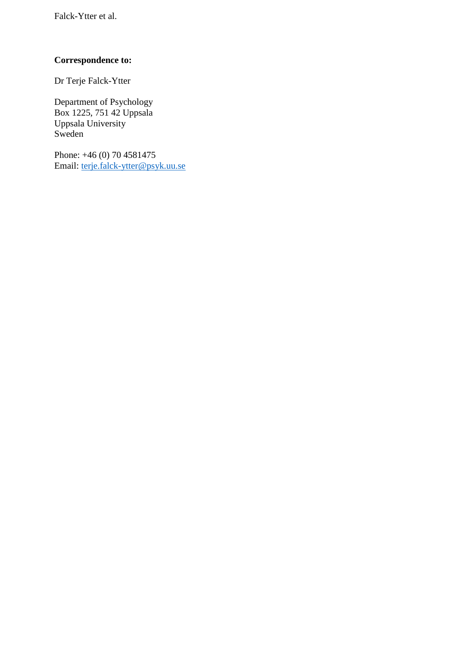# **Correspondence to:**

Dr Terje Falck-Ytter

Department of Psychology Box 1225, 751 42 Uppsala Uppsala University Sweden

Phone: +46 (0) 70 4581475 Email: [terje.falck-ytter@psyk.uu.se](mailto:terje.falck-ytter@psyk.uu.se)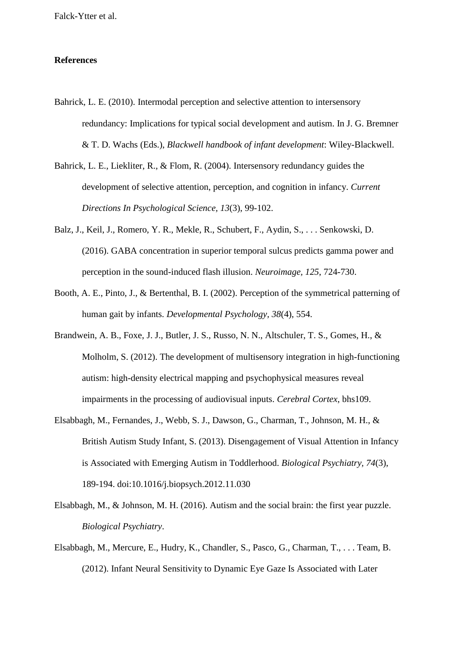#### **References**

- Bahrick, L. E. (2010). Intermodal perception and selective attention to intersensory redundancy: Implications for typical social development and autism. In J. G. Bremner & T. D. Wachs (Eds.), *Blackwell handbook of infant development*: Wiley-Blackwell.
- Bahrick, L. E., Liekliter, R., & Flom, R. (2004). Intersensory redundancy guides the development of selective attention, perception, and cognition in infancy. *Current Directions In Psychological Science, 13*(3), 99-102.
- Balz, J., Keil, J., Romero, Y. R., Mekle, R., Schubert, F., Aydin, S., . . . Senkowski, D. (2016). GABA concentration in superior temporal sulcus predicts gamma power and perception in the sound-induced flash illusion. *Neuroimage, 125*, 724-730.
- Booth, A. E., Pinto, J., & Bertenthal, B. I. (2002). Perception of the symmetrical patterning of human gait by infants. *Developmental Psychology, 38*(4), 554.
- Brandwein, A. B., Foxe, J. J., Butler, J. S., Russo, N. N., Altschuler, T. S., Gomes, H., & Molholm, S. (2012). The development of multisensory integration in high-functioning autism: high-density electrical mapping and psychophysical measures reveal impairments in the processing of audiovisual inputs. *Cerebral Cortex*, bhs109.
- Elsabbagh, M., Fernandes, J., Webb, S. J., Dawson, G., Charman, T., Johnson, M. H., & British Autism Study Infant, S. (2013). Disengagement of Visual Attention in Infancy is Associated with Emerging Autism in Toddlerhood. *Biological Psychiatry, 74*(3), 189-194. doi:10.1016/j.biopsych.2012.11.030
- Elsabbagh, M., & Johnson, M. H. (2016). Autism and the social brain: the first year puzzle. *Biological Psychiatry*.
- Elsabbagh, M., Mercure, E., Hudry, K., Chandler, S., Pasco, G., Charman, T., . . . Team, B. (2012). Infant Neural Sensitivity to Dynamic Eye Gaze Is Associated with Later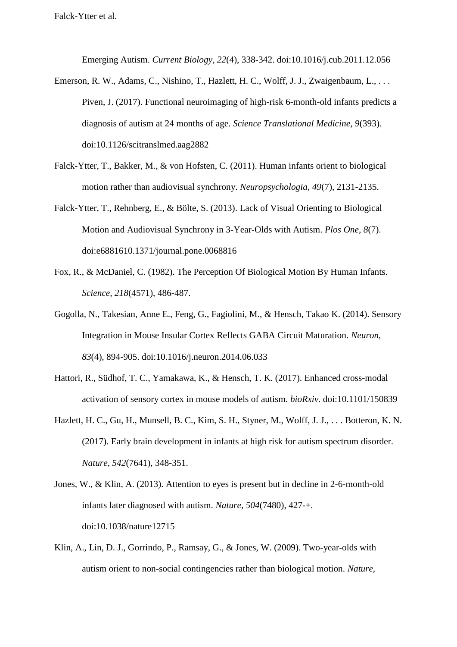Emerging Autism. *Current Biology, 22*(4), 338-342. doi:10.1016/j.cub.2011.12.056

- Emerson, R. W., Adams, C., Nishino, T., Hazlett, H. C., Wolff, J. J., Zwaigenbaum, L., ... Piven, J. (2017). Functional neuroimaging of high-risk 6-month-old infants predicts a diagnosis of autism at 24 months of age. *Science Translational Medicine, 9*(393). doi:10.1126/scitranslmed.aag2882
- Falck-Ytter, T., Bakker, M., & von Hofsten, C. (2011). Human infants orient to biological motion rather than audiovisual synchrony. *Neuropsychologia, 49*(7), 2131-2135.
- Falck-Ytter, T., Rehnberg, E., & Bölte, S. (2013). Lack of Visual Orienting to Biological Motion and Audiovisual Synchrony in 3-Year-Olds with Autism. *Plos One, 8*(7). doi:e6881610.1371/journal.pone.0068816
- Fox, R., & McDaniel, C. (1982). The Perception Of Biological Motion By Human Infants. *Science, 218*(4571), 486-487.
- Gogolla, N., Takesian, Anne E., Feng, G., Fagiolini, M., & Hensch, Takao K. (2014). Sensory Integration in Mouse Insular Cortex Reflects GABA Circuit Maturation. *Neuron, 83*(4), 894-905. doi:10.1016/j.neuron.2014.06.033
- Hattori, R., Südhof, T. C., Yamakawa, K., & Hensch, T. K. (2017). Enhanced cross-modal activation of sensory cortex in mouse models of autism. *bioRxiv*. doi:10.1101/150839
- Hazlett, H. C., Gu, H., Munsell, B. C., Kim, S. H., Styner, M., Wolff, J. J., . . . Botteron, K. N. (2017). Early brain development in infants at high risk for autism spectrum disorder. *Nature, 542*(7641), 348-351.
- Jones, W., & Klin, A. (2013). Attention to eyes is present but in decline in 2-6-month-old infants later diagnosed with autism. *Nature, 504*(7480), 427-+. doi:10.1038/nature12715
- Klin, A., Lin, D. J., Gorrindo, P., Ramsay, G., & Jones, W. (2009). Two-year-olds with autism orient to non-social contingencies rather than biological motion. *Nature,*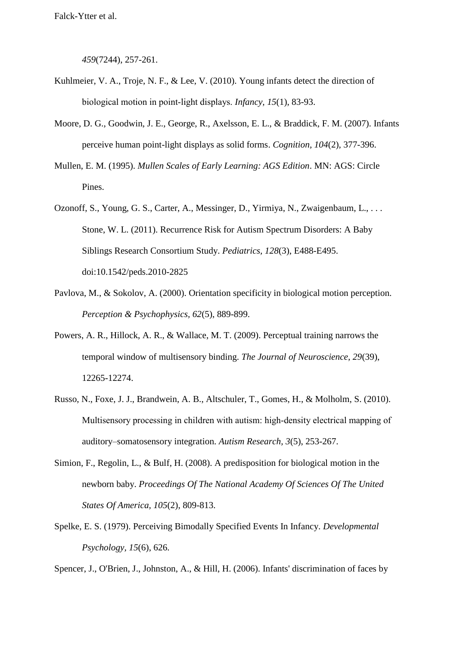*459*(7244), 257-261.

- Kuhlmeier, V. A., Troje, N. F., & Lee, V. (2010). Young infants detect the direction of biological motion in point‐light displays. *Infancy, 15*(1), 83-93.
- Moore, D. G., Goodwin, J. E., George, R., Axelsson, E. L., & Braddick, F. M. (2007). Infants perceive human point-light displays as solid forms. *Cognition, 104*(2), 377-396.
- Mullen, E. M. (1995). *Mullen Scales of Early Learning: AGS Edition*. MN: AGS: Circle Pines.
- Ozonoff, S., Young, G. S., Carter, A., Messinger, D., Yirmiya, N., Zwaigenbaum, L., . . . Stone, W. L. (2011). Recurrence Risk for Autism Spectrum Disorders: A Baby Siblings Research Consortium Study. *Pediatrics, 128*(3), E488-E495. doi:10.1542/peds.2010-2825
- Pavlova, M., & Sokolov, A. (2000). Orientation specificity in biological motion perception. *Perception & Psychophysics, 62*(5), 889-899.
- Powers, A. R., Hillock, A. R., & Wallace, M. T. (2009). Perceptual training narrows the temporal window of multisensory binding. *The Journal of Neuroscience, 29*(39), 12265-12274.
- Russo, N., Foxe, J. J., Brandwein, A. B., Altschuler, T., Gomes, H., & Molholm, S. (2010). Multisensory processing in children with autism: high-density electrical mapping of auditory–somatosensory integration. *Autism Research, 3*(5), 253-267.
- Simion, F., Regolin, L., & Bulf, H. (2008). A predisposition for biological motion in the newborn baby. *Proceedings Of The National Academy Of Sciences Of The United States Of America, 105*(2), 809-813.
- Spelke, E. S. (1979). Perceiving Bimodally Specified Events In Infancy. *Developmental Psychology, 15*(6), 626.

Spencer, J., O'Brien, J., Johnston, A., & Hill, H. (2006). Infants' discrimination of faces by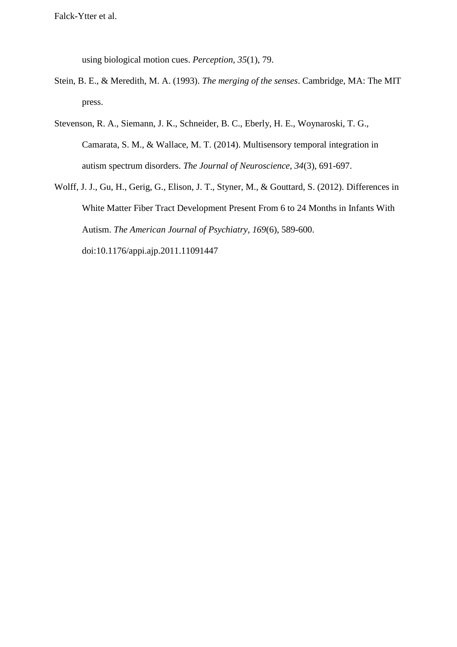using biological motion cues. *Perception, 35*(1), 79.

- Stein, B. E., & Meredith, M. A. (1993). *The merging of the senses*. Cambridge, MA: The MIT press.
- Stevenson, R. A., Siemann, J. K., Schneider, B. C., Eberly, H. E., Woynaroski, T. G., Camarata, S. M., & Wallace, M. T. (2014). Multisensory temporal integration in autism spectrum disorders. *The Journal of Neuroscience, 34*(3), 691-697.
- Wolff, J. J., Gu, H., Gerig, G., Elison, J. T., Styner, M., & Gouttard, S. (2012). Differences in White Matter Fiber Tract Development Present From 6 to 24 Months in Infants With Autism. *The American Journal of Psychiatry, 169*(6), 589-600. doi:10.1176/appi.ajp.2011.11091447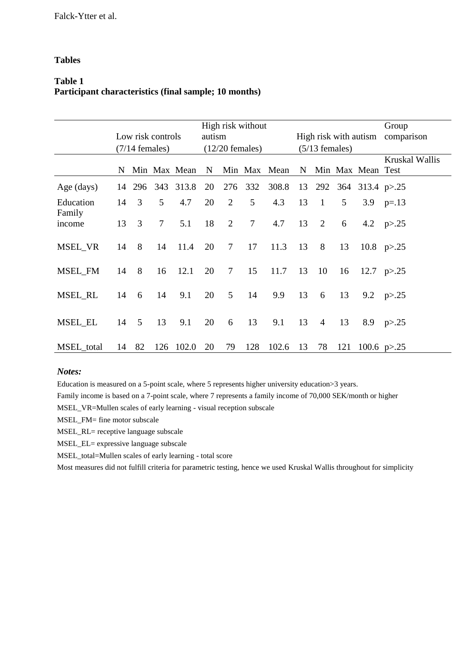## **Tables**

# **Table 1 Participant characteristics (final sample; 10 months)**

|                     | High risk without |     |                |              |                   |                |        |              |                       | Group        |     |                     |                       |
|---------------------|-------------------|-----|----------------|--------------|-------------------|----------------|--------|--------------|-----------------------|--------------|-----|---------------------|-----------------------|
|                     | Low risk controls |     |                |              | autism            |                |        |              | High risk with autism |              |     |                     | comparison            |
|                     | $(7/14$ females)  |     |                |              | $(12/20$ females) |                |        |              | $(5/13$ females)      |              |     |                     |                       |
|                     | N                 |     |                | Min Max Mean | N                 |                |        | Min Max Mean |                       |              |     | N Min Max Mean Test | <b>Kruskal Wallis</b> |
| Age (days)          | 14                | 296 | 343            | 313.8        | 20                | 276            | 332    | 308.8        | 13                    |              |     | 292 364 313.4 p>.25 |                       |
| Education<br>Family | 14                | 3   | 5              | 4.7          | 20                | $\overline{2}$ | 5      | 4.3          | 13                    | $\mathbf{1}$ | 5   | 3.9                 | $p = 13$              |
| income              | 13                | 3   | $\overline{7}$ | 5.1          | 18                | $\overline{2}$ | $\tau$ | 4.7          | 13                    | 2            | 6   |                     | 4.2 $p > 0.25$        |
| MSEL_VR             | 14                | 8   | 14             | 11.4         | 20                | $\tau$         | 17     | 11.3         | 13                    | 8            | 13  |                     | 10.8 $p > .25$        |
| MSEL_FM             | 14                | 8   | 16             | 12.1         | 20                | $\tau$         | 15     | 11.7         | 13                    | 10           | 16  |                     | 12.7 $p > 0.25$       |
| MSEL RL             | 14                | 6   | 14             | 9.1          | 20                | 5              | 14     | 9.9          | 13                    | 6            | 13  | 9.2                 | p > 25                |
| <b>MSEL_EL</b>      | 14                | 5   | 13             | 9.1          | 20                | 6              | 13     | 9.1          | 13                    | 4            | 13  | 8.9                 | p > 0.25              |
| MSEL_total          | 14                | 82  | 126            | 102.0        | 20                | 79             | 128    | 102.6        | 13                    | 78           | 121 |                     | 100.6 $p > 25$        |

#### *Notes:*

Education is measured on a 5-point scale, where 5 represents higher university education>3 years.

Family income is based on a 7-point scale, where 7 represents a family income of 70,000 SEK/month or higher

MSEL\_VR=Mullen scales of early learning - visual reception subscale

MSEL\_FM= fine motor subscale

MSEL\_RL= receptive language subscale

MSEL\_EL= expressive language subscale

MSEL\_total=Mullen scales of early learning - total score

Most measures did not fulfill criteria for parametric testing, hence we used Kruskal Wallis throughout for simplicity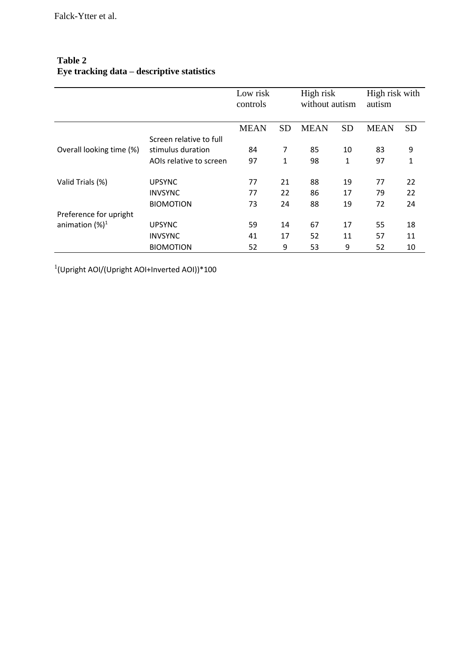|                          |                         | Low risk<br>controls |           | High risk<br>without autism |           | High risk with<br>autism |           |
|--------------------------|-------------------------|----------------------|-----------|-----------------------------|-----------|--------------------------|-----------|
|                          |                         | <b>MEAN</b>          | <b>SD</b> | <b>MEAN</b>                 | <b>SD</b> | <b>MEAN</b>              | <b>SD</b> |
|                          | Screen relative to full |                      |           |                             |           |                          |           |
| Overall looking time (%) | stimulus duration       | 84                   | 7         | 85                          | 10        | 83                       | 9         |
|                          | AOIs relative to screen | 97                   | 1         | 98                          | 1         | 97                       | 1         |
|                          |                         |                      |           |                             |           |                          |           |
| Valid Trials (%)         | <b>UPSYNC</b>           | 77                   | 21        | 88                          | 19        | 77                       | 22        |
|                          | <b>INVSYNC</b>          | 77                   | 22        | 86                          | 17        | 79                       | 22        |
|                          | <b>BIOMOTION</b>        | 73                   | 24        | 88                          | 19        | 72                       | 24        |
| Preference for upright   |                         |                      |           |                             |           |                          |           |
| animation $(%)^1$        | <b>UPSYNC</b>           | 59                   | 14        | 67                          | 17        | 55                       | 18        |
|                          | <b>INVSYNC</b>          | 41                   | 17        | 52                          | 11        | 57                       | 11        |
|                          | <b>BIOMOTION</b>        | 52                   | 9         | 53                          | 9         | 52                       | 10        |

# **Table 2 Eye tracking data – descriptive statistics**

1 (Upright AOI/(Upright AOI+Inverted AOI))\*100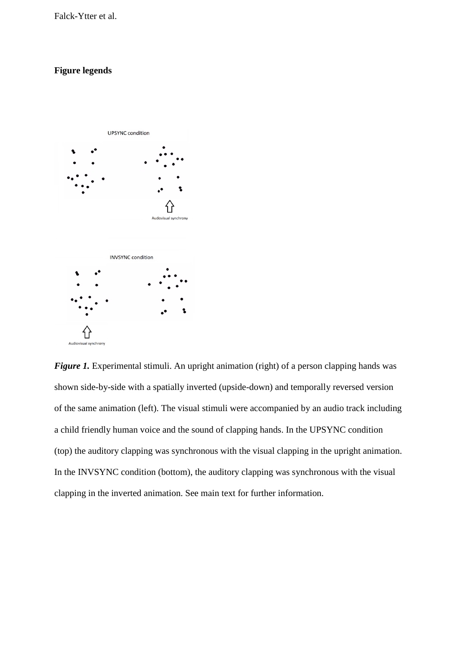## **Figure legends**



*Figure 1.* Experimental stimuli. An upright animation (right) of a person clapping hands was shown side-by-side with a spatially inverted (upside-down) and temporally reversed version of the same animation (left). The visual stimuli were accompanied by an audio track including a child friendly human voice and the sound of clapping hands. In the UPSYNC condition (top) the auditory clapping was synchronous with the visual clapping in the upright animation. In the INVSYNC condition (bottom), the auditory clapping was synchronous with the visual clapping in the inverted animation. See main text for further information.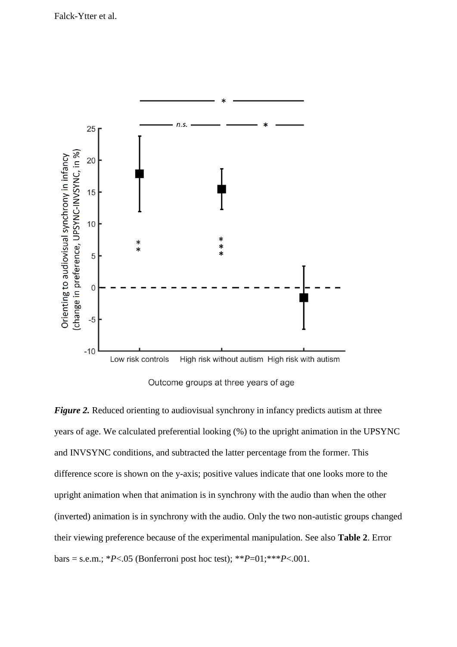

Outcome groups at three years of age

*Figure 2.* Reduced orienting to audiovisual synchrony in infancy predicts autism at three years of age. We calculated preferential looking (%) to the upright animation in the UPSYNC and INVSYNC conditions, and subtracted the latter percentage from the former. This difference score is shown on the y-axis; positive values indicate that one looks more to the upright animation when that animation is in synchrony with the audio than when the other (inverted) animation is in synchrony with the audio. Only the two non-autistic groups changed their viewing preference because of the experimental manipulation. See also **Table 2**. Error bars = s.e.m.;  $*P < .05$  (Bonferroni post hoc test);  $*P = 01; **P < .001$ .